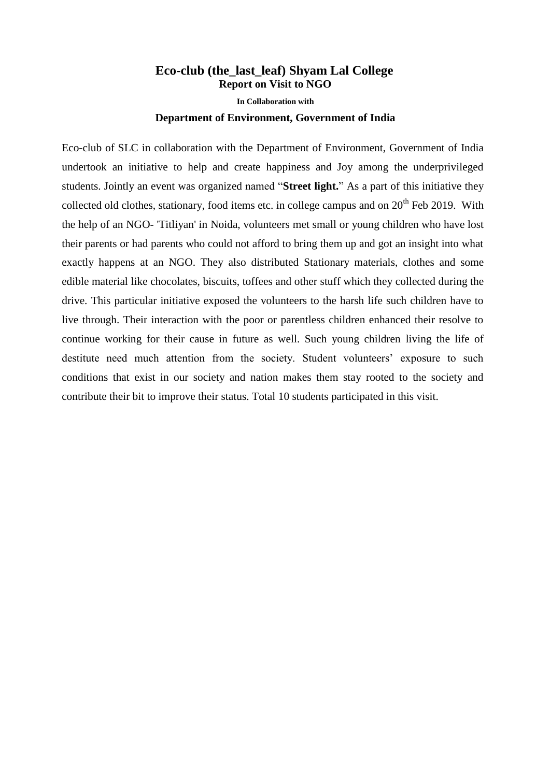## **Eco-club (the\_last\_leaf) Shyam Lal College Report on Visit to NGO In Collaboration with Department of Environment, Government of India**

Eco-club of SLC in collaboration with the Department of Environment, Government of India undertook an initiative to help and create happiness and Joy among the underprivileged students. Jointly an event was organized named "**Street light.**" As a part of this initiative they collected old clothes, stationary, food items etc. in college campus and on  $20<sup>th</sup>$  Feb 2019. With the help of an NGO- 'Titliyan' in Noida, volunteers met small or young children who have lost their parents or had parents who could not afford to bring them up and got an insight into what exactly happens at an NGO. They also distributed Stationary materials, clothes and some edible material like chocolates, biscuits, toffees and other stuff which they collected during the drive. This particular initiative exposed the volunteers to the harsh life such children have to live through. Their interaction with the poor or parentless children enhanced their resolve to continue working for their cause in future as well. Such young children living the life of destitute need much attention from the society. Student volunteers' exposure to such conditions that exist in our society and nation makes them stay rooted to the society and contribute their bit to improve their status. Total 10 students participated in this visit.